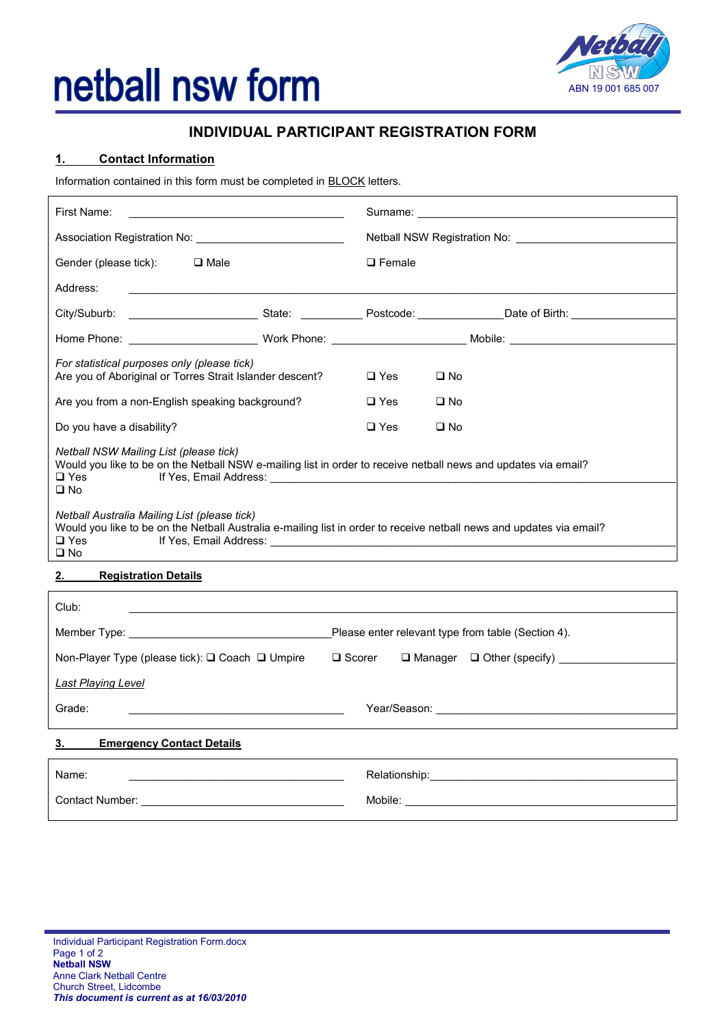# netball nsw form



# **INDIVIDUAL PARTICIPANT REGISTRATION FORM**

### **1. Contact Information**

Information contained in this form must be completed in **BLOCK** letters.

| First Name:                                                                                                                                                                                        |                                                                                                                                                                                                                                |  |
|----------------------------------------------------------------------------------------------------------------------------------------------------------------------------------------------------|--------------------------------------------------------------------------------------------------------------------------------------------------------------------------------------------------------------------------------|--|
| Association Registration No: _____________________________                                                                                                                                         | Netball NSW Registration No: \\contact \\contact \\contact \\contact \\contact \\contact \\contact \\contact \\contact \\contact \\contact \\contact \\contact \\contact \\contact \\contact \\contact \\contact \\contact \\c |  |
| Gender (please tick): $\Box$ Male                                                                                                                                                                  | $\Box$ Female                                                                                                                                                                                                                  |  |
| Address:<br><u> 2000 - 2000 - 2000 - 2000 - 2000 - 2000 - 2000 - 2000 - 2000 - 2000 - 2000 - 2000 - 2000 - 2000 - 2000 - 200</u>                                                                   |                                                                                                                                                                                                                                |  |
|                                                                                                                                                                                                    |                                                                                                                                                                                                                                |  |
|                                                                                                                                                                                                    |                                                                                                                                                                                                                                |  |
| For statistical purposes only (please tick)<br>Are you of Aboriginal or Torres Strait Islander descent?                                                                                            | $\square$ Yes<br>$\Box$ No                                                                                                                                                                                                     |  |
| Are you from a non-English speaking background?                                                                                                                                                    | $\square$ Yes<br>$\square$ No                                                                                                                                                                                                  |  |
| Do you have a disability?                                                                                                                                                                          | $\Box$ Yes<br>$\square$ No                                                                                                                                                                                                     |  |
| Netball NSW Mailing List (please tick)<br>Would you like to be on the Netball NSW e-mailing list in order to receive netball news and updates via email?<br>$\Box$ Yes<br>$\square$ No             |                                                                                                                                                                                                                                |  |
| Netball Australia Mailing List (please tick)<br>Would you like to be on the Netball Australia e-mailing list in order to receive netball news and updates via email?<br>$\Box$ Yes<br>$\square$ No |                                                                                                                                                                                                                                |  |

# **2. Registration Details**

| Club:                                                                      |                                                                                                                                                                                                                               |
|----------------------------------------------------------------------------|-------------------------------------------------------------------------------------------------------------------------------------------------------------------------------------------------------------------------------|
|                                                                            | Please enter relevant type from table (Section 4).                                                                                                                                                                            |
| Non-Player Type (please tick): $\square$ Coach $\square$ Umpire            | $\Box$ Scorer $\Box$ Manager $\Box$ Other (specify)                                                                                                                                                                           |
| <b>Last Playing Level</b>                                                  |                                                                                                                                                                                                                               |
| Grade:<br><u> 1980 - Johann Barbara, martxa eta politikaria (h. 1905).</u> |                                                                                                                                                                                                                               |
| 3.<br><b>Emergency Contact Details</b>                                     |                                                                                                                                                                                                                               |
| Name:                                                                      | Relationship: example and a set of the set of the set of the set of the set of the set of the set of the set of the set of the set of the set of the set of the set of the set of the set of the set of the set of the set of |
| Contact Number: <u>________________</u>                                    | Mobile: ____________                                                                                                                                                                                                          |